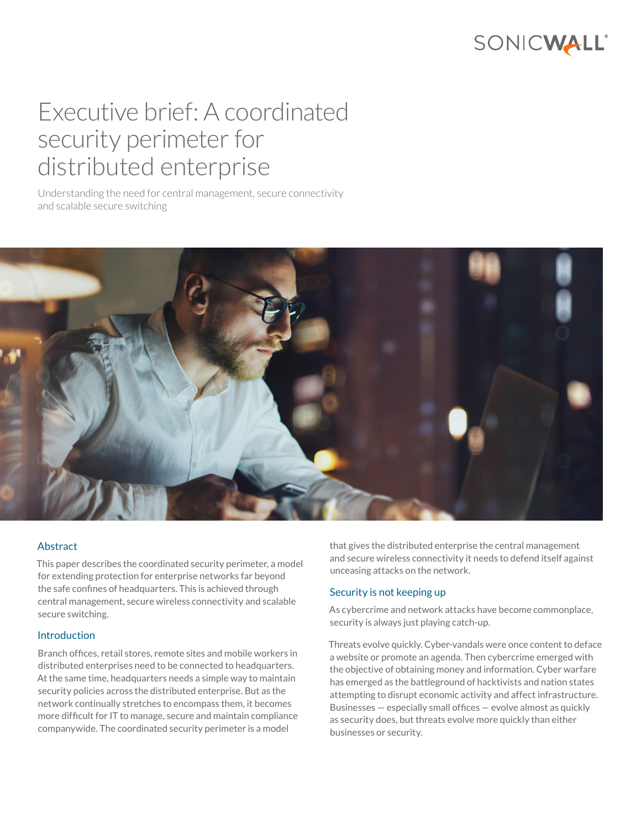

# Executive brief: A coordinated security perimeter for distributed enterprise

Understanding the need for central management, secure connectivity and scalable secure switching



## Abstract

This paper describes the coordinated security perimeter, a model for extending protection for enterprise networks far beyond the safe confines of headquarters. This is achieved through central management, secure wireless connectivity and scalable secure switching.

#### Introduction

Branch offices, retail stores, remote sites and mobile workers in distributed enterprises need to be connected to headquarters. At the same time, headquarters needs a simple way to maintain security policies across the distributed enterprise. But as the network continually stretches to encompass them, it becomes more difficult for IT to manage, secure and maintain compliance companywide. The coordinated security perimeter is a model

that gives the distributed enterprise the central management and secure wireless connectivity it needs to defend itself against unceasing attacks on the network.

## Security is not keeping up

As cybercrime and network attacks have become commonplace, security is always just playing catch-up.

Threats evolve quickly. Cyber-vandals were once content to deface a website or promote an agenda. Then cybercrime emerged with the objective of obtaining money and information. Cyber warfare has emerged as the battleground of hacktivists and nation states attempting to disrupt economic activity and affect infrastructure. Businesses — especially small offices — evolve almost as quickly as security does, but threats evolve more quickly than either businesses or security.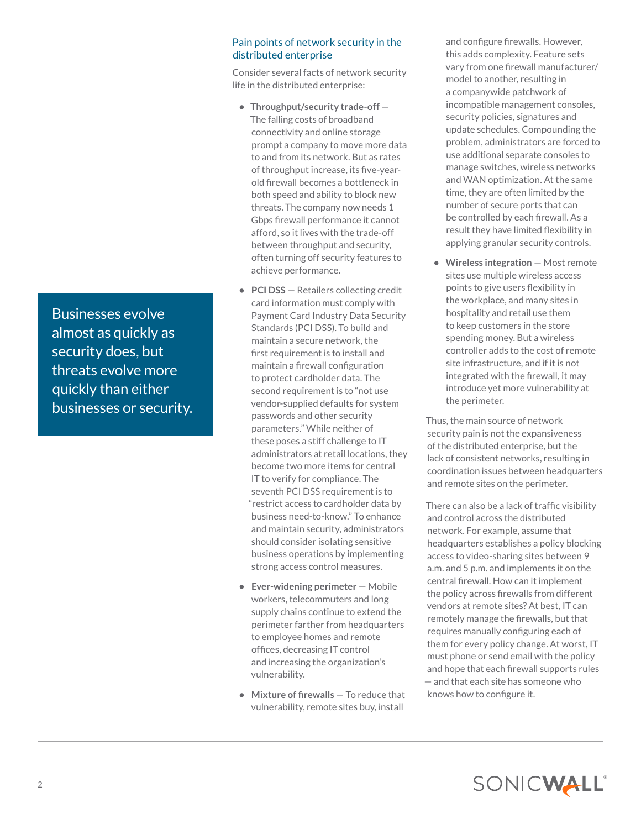Pain points of network security in the distributed enterprise

Consider several facts of network security life in the distributed enterprise:

- **• Throughput/security trade-off** The falling costs of broadband connectivity and online storage prompt a company to move more data to and from its network. But as rates of throughput increase, its five-yearold firewall becomes a bottleneck in both speed and ability to block new threats. The company now needs 1 Gbps firewall performance it cannot afford, so it lives with the trade-off between throughput and security, often turning off security features to achieve performance.
- **• PCI DSS** Retailers collecting credit card information must comply with Payment Card Industry Data Security Standards (PCI DSS). To build and maintain a secure network, the first requirement is to install and maintain a firewall configuration to protect cardholder data. The second requirement is to "not use vendor-supplied defaults for system passwords and other security parameters." While neither of these poses a stiff challenge to IT administrators at retail locations, they become two more items for central IT to verify for compliance. The seventh PCI DSS requirement is to "restrict access to cardholder data by business need-to-know." To enhance and maintain security, administrators should consider isolating sensitive business operations by implementing strong access control measures.
- **• Ever-widening perimeter** Mobile workers, telecommuters and long supply chains continue to extend the perimeter farther from headquarters to employee homes and remote offices, decreasing IT control and increasing the organization's vulnerability.
- **• Mixture of firewalls** To reduce that vulnerability, remote sites buy, install

and configure firewalls. However, this adds complexity. Feature sets vary from one firewall manufacturer/ model to another, resulting in a companywide patchwork of incompatible management consoles, security policies, signatures and update schedules. Compounding the problem, administrators are forced to use additional separate consoles to manage switches, wireless networks and WAN optimization. At the same time, they are often limited by the number of secure ports that can be controlled by each firewall. As a result they have limited flexibility in applying granular security controls.

**• Wireless integration** — Most remote sites use multiple wireless access points to give users flexibility in the workplace, and many sites in hospitality and retail use them to keep customers in the store spending money. But a wireless controller adds to the cost of remote site infrastructure, and if it is not integrated with the firewall, it may introduce yet more vulnerability at the perimeter.

Thus, the main source of network security pain is not the expansiveness of the distributed enterprise, but the lack of consistent networks, resulting in coordination issues between headquarters and remote sites on the perimeter.

There can also be a lack of traffic visibility and control across the distributed network. For example, assume that headquarters establishes a policy blocking access to video-sharing sites between 9 a.m. and 5 p.m. and implements it on the central firewall. How can it implement the policy across firewalls from different vendors at remote sites? At best, IT can remotely manage the firewalls, but that requires manually configuring each of them for every policy change. At worst, IT must phone or send email with the policy and hope that each firewall supports rules — and that each site has someone who knows how to configure it.

Businesses evolve almost as quickly as security does, but threats evolve more quickly than either businesses or security.

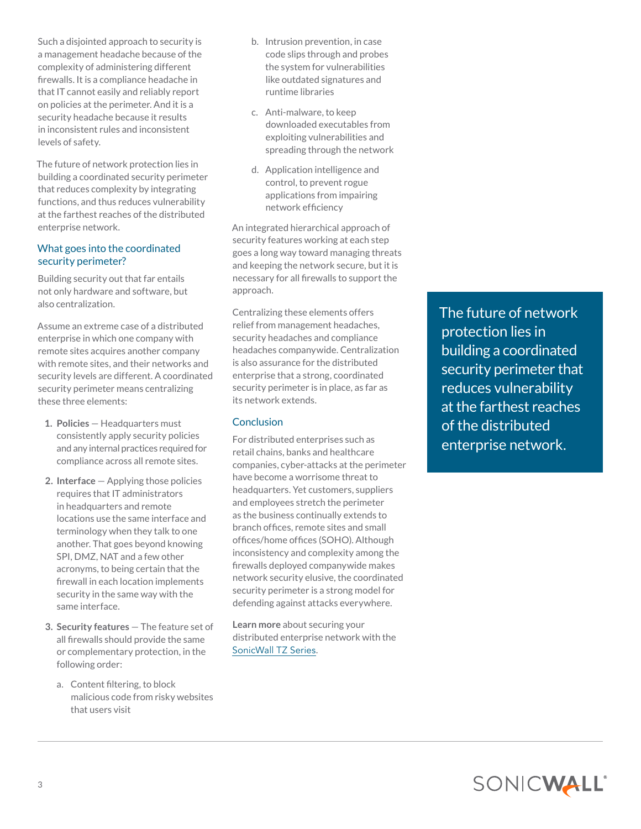Such a disjointed approach to security is a management headache because of the complexity of administering different firewalls. It is a compliance headache in that IT cannot easily and reliably report on policies at the perimeter. And it is a security headache because it results in inconsistent rules and inconsistent levels of safety.

The future of network protection lies in building a coordinated security perimeter that reduces complexity by integrating functions, and thus reduces vulnerability at the farthest reaches of the distributed enterprise network.

## What goes into the coordinated security perimeter?

Building security out that far entails not only hardware and software, but also centralization.

Assume an extreme case of a distributed enterprise in which one company with remote sites acquires another company with remote sites, and their networks and security levels are different. A coordinated security perimeter means centralizing these three elements:

- **1. Policies** Headquarters must consistently apply security policies and any internal practices required for compliance across all remote sites.
- **2. Interface** Applying those policies requires that IT administrators in headquarters and remote locations use the same interface and terminology when they talk to one another. That goes beyond knowing SPI, DMZ, NAT and a few other acronyms, to being certain that the firewall in each location implements security in the same way with the same interface.
- **3. Security features** The feature set of all firewalls should provide the same or complementary protection, in the following order:
	- a. Content filtering, to block malicious code from risky websites that users visit
- b. Intrusion prevention, in case code slips through and probes the system for vulnerabilities like outdated signatures and runtime libraries
- c. Anti-malware, to keep downloaded executables from exploiting vulnerabilities and spreading through the network
- d. Application intelligence and control, to prevent rogue applications from impairing network efficiency

An integrated hierarchical approach of security features working at each step goes a long way toward managing threats and keeping the network secure, but it is necessary for all firewalls to support the approach.

Centralizing these elements offers relief from management headaches, security headaches and compliance headaches companywide. Centralization is also assurance for the distributed enterprise that a strong, coordinated security perimeter is in place, as far as its network extends.

# **Conclusion**

For distributed enterprises such as retail chains, banks and healthcare companies, cyber-attacks at the perimeter have become a worrisome threat to headquarters. Yet customers, suppliers and employees stretch the perimeter as the business continually extends to branch offices, remote sites and small offices/home offices (SOHO). Although inconsistency and complexity among the firewalls deployed companywide makes network security elusive, the coordinated security perimeter is a strong model for defending against attacks everywhere.

**Learn more** about securing your distributed enterprise network with the [SonicWall TZ Series](https://www.sonicwall.com/en-us/products/firewalls/entry-level).

The future of network protection lies in building a coordinated security perimeter that reduces vulnerability at the farthest reaches of the distributed enterprise network.